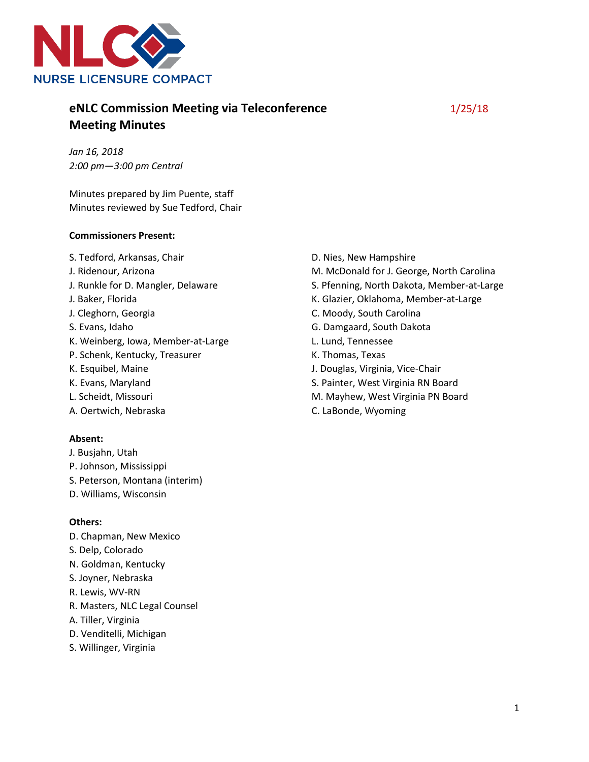

# **eNLC Commission Meeting via Teleconference** 1/25/18 **Meeting Minutes**

*Jan 16, 2018 2:00 pm—3:00 pm Central*

Minutes prepared by Jim Puente, staff Minutes reviewed by Sue Tedford, Chair

## **Commissioners Present:**

S. Tedford, Arkansas, Chair

- J. Ridenour, Arizona
- J. Runkle for D. Mangler, Delaware
- J. Baker, Florida
- J. Cleghorn, Georgia
- S. Evans, Idaho
- K. Weinberg, Iowa, Member-at-Large
- P. Schenk, Kentucky, Treasurer
- K. Esquibel, Maine
- K. Evans, Maryland
- L. Scheidt, Missouri
- A. Oertwich, Nebraska

#### **Absent:**

- J. Busjahn, Utah
- P. Johnson, Mississippi
- S. Peterson, Montana (interim)
- D. Williams, Wisconsin

#### **Others:**

- D. Chapman, New Mexico
- S. Delp, Colorado
- N. Goldman, Kentucky
- S. Joyner, Nebraska
- R. Lewis, WV-RN
- R. Masters, NLC Legal Counsel
- A. Tiller, Virginia
- D. Venditelli, Michigan
- S. Willinger, Virginia
- D. Nies, New Hampshire M. McDonald for J. George, North Carolina S. Pfenning, North Dakota, Member-at-Large K. Glazier, Oklahoma, Member-at-Large C. Moody, South Carolina G. Damgaard, South Dakota L. Lund, Tennessee K. Thomas, Texas J. Douglas, Virginia, Vice-Chair S. Painter, West Virginia RN Board
- M. Mayhew, West Virginia PN Board
- C. LaBonde, Wyoming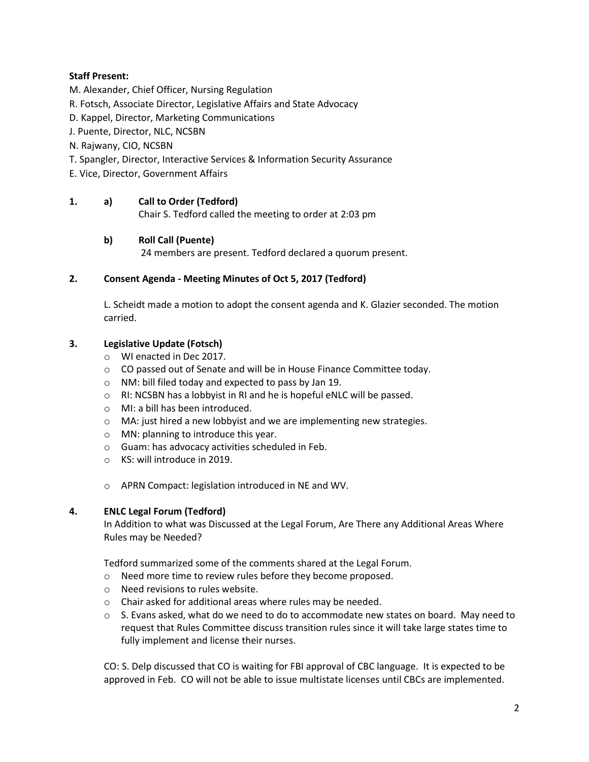## **Staff Present:**

M. Alexander, Chief Officer, Nursing Regulation

- R. Fotsch, Associate Director, Legislative Affairs and State Advocacy
- D. Kappel, Director, Marketing Communications
- J. Puente, Director, NLC, NCSBN
- N. Rajwany, CIO, NCSBN
- T. Spangler, Director, Interactive Services & Information Security Assurance
- E. Vice, Director, Government Affairs

## **1. a) Call to Order (Tedford)**

Chair S. Tedford called the meeting to order at 2:03 pm

#### **b) Roll Call (Puente)**

24 members are present. Tedford declared a quorum present.

#### **2. Consent Agenda - Meeting Minutes of Oct 5, 2017 (Tedford)**

L. Scheidt made a motion to adopt the consent agenda and K. Glazier seconded. The motion carried.

## **3. Legislative Update (Fotsch)**

- o WI enacted in Dec 2017.
- o CO passed out of Senate and will be in House Finance Committee today.
- o NM: bill filed today and expected to pass by Jan 19.
- o RI: NCSBN has a lobbyist in RI and he is hopeful eNLC will be passed.
- o MI: a bill has been introduced.
- o MA: just hired a new lobbyist and we are implementing new strategies.
- o MN: planning to introduce this year.
- o Guam: has advocacy activities scheduled in Feb.
- o KS: will introduce in 2019.
- o APRN Compact: legislation introduced in NE and WV.

#### **4. ENLC Legal Forum (Tedford)**

In Addition to what was Discussed at the Legal Forum, Are There any Additional Areas Where Rules may be Needed?

Tedford summarized some of the comments shared at the Legal Forum.

- o Need more time to review rules before they become proposed.
- o Need revisions to rules website.
- o Chair asked for additional areas where rules may be needed.
- $\circ$  S. Evans asked, what do we need to do to accommodate new states on board. May need to request that Rules Committee discuss transition rules since it will take large states time to fully implement and license their nurses.

CO: S. Delp discussed that CO is waiting for FBI approval of CBC language. It is expected to be approved in Feb. CO will not be able to issue multistate licenses until CBCs are implemented.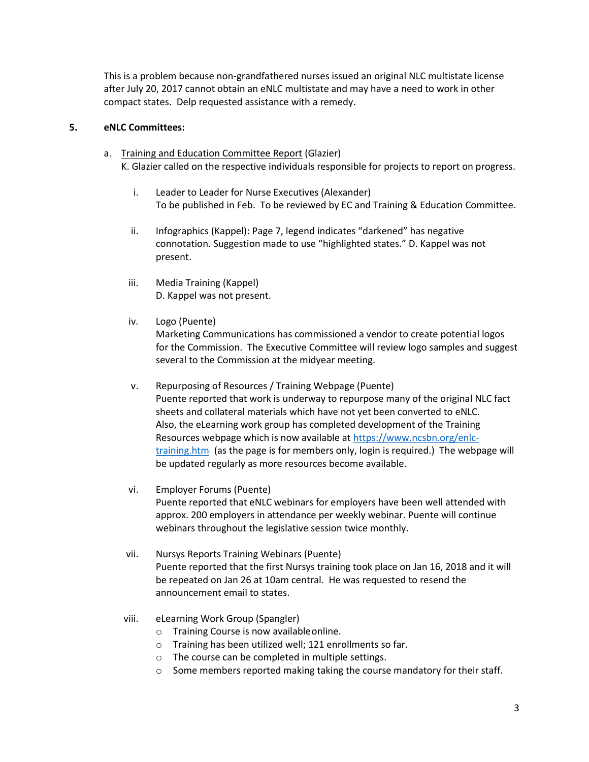This is a problem because non-grandfathered nurses issued an original NLC multistate license after July 20, 2017 cannot obtain an eNLC multistate and may have a need to work in other compact states. Delp requested assistance with a remedy.

#### **5. eNLC Committees:**

- a. Training and Education Committee Report (Glazier) K. Glazier called on the respective individuals responsible for projects to report on progress.
	- i. Leader to Leader for Nurse Executives (Alexander) To be published in Feb. To be reviewed by EC and Training & Education Committee.
	- ii. Infographics (Kappel): Page 7, legend indicates "darkened" has negative connotation. Suggestion made to use "highlighted states." D. Kappel was not present.
	- iii. Media Training (Kappel) D. Kappel was not present.
	- iv. Logo (Puente)

Marketing Communications has commissioned a vendor to create potential logos for the Commission. The Executive Committee will review logo samples and suggest several to the Commission at the midyear meeting.

- v. Repurposing of Resources / Training Webpage (Puente) Puente reported that work is underway to repurpose many of the original NLC fact sheets and collateral materials which have not yet been converted to eNLC. Also, the eLearning work group has completed development of the Training Resources webpage which is now available at [https://www.ncsbn.org/enlc](https://www.ncsbn.org/enlc-training.htm)[training.htm](https://www.ncsbn.org/enlc-training.htm) (as the page is for members only, login is required.) The webpage will be updated regularly as more resources become available.
- vi. Employer Forums (Puente) Puente reported that eNLC webinars for employers have been well attended with approx. 200 employers in attendance per weekly webinar. Puente will continue webinars throughout the legislative session twice monthly.
- vii. Nursys Reports Training Webinars (Puente) Puente reported that the first Nursys training took place on Jan 16, 2018 and it will be repeated on Jan 26 at 10am central. He was requested to resend the announcement email to states.
- viii. eLearning Work Group (Spangler)
	- o Training Course is now availableonline.
	- o Training has been utilized well; 121 enrollments so far.
	- o The course can be completed in multiple settings.
	- $\circ$  Some members reported making taking the course mandatory for their staff.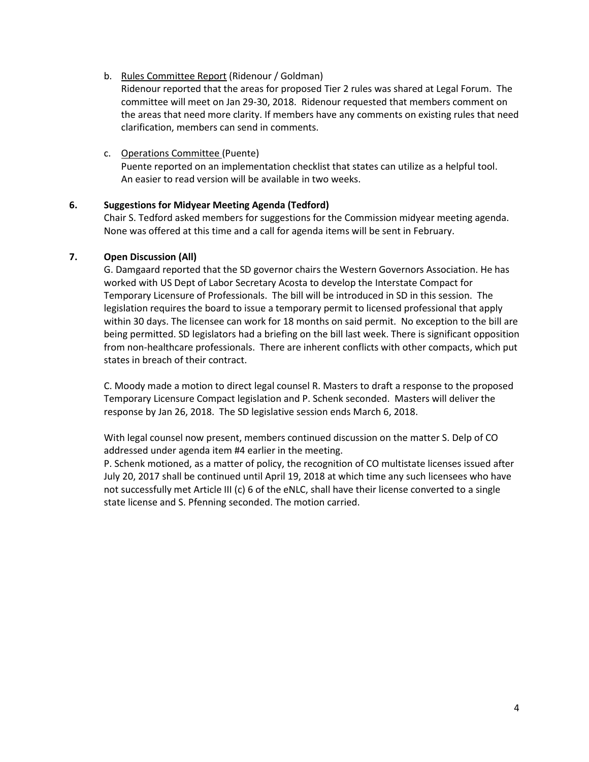#### b. Rules Committee Report (Ridenour / Goldman)

Ridenour reported that the areas for proposed Tier 2 rules was shared at Legal Forum. The committee will meet on Jan 29-30, 2018. Ridenour requested that members comment on the areas that need more clarity. If members have any comments on existing rules that need clarification, members can send in comments.

#### c. Operations Committee (Puente) Puente reported on an implementation checklist that states can utilize as a helpful tool. An easier to read version will be available in two weeks.

## **6. Suggestions for Midyear Meeting Agenda (Tedford)**

Chair S. Tedford asked members for suggestions for the Commission midyear meeting agenda. None was offered at this time and a call for agenda items will be sent in February.

## **7. Open Discussion (All)**

G. Damgaard reported that the SD governor chairs the Western Governors Association. He has worked with US Dept of Labor Secretary Acosta to develop the Interstate Compact for Temporary Licensure of Professionals. The bill will be introduced in SD in this session. The legislation requires the board to issue a temporary permit to licensed professional that apply within 30 days. The licensee can work for 18 months on said permit. No exception to the bill are being permitted. SD legislators had a briefing on the bill last week. There is significant opposition from non-healthcare professionals. There are inherent conflicts with other compacts, which put states in breach of their contract.

C. Moody made a motion to direct legal counsel R. Masters to draft a response to the proposed Temporary Licensure Compact legislation and P. Schenk seconded. Masters will deliver the response by Jan 26, 2018. The SD legislative session ends March 6, 2018.

With legal counsel now present, members continued discussion on the matter S. Delp of CO addressed under agenda item #4 earlier in the meeting.

P. Schenk motioned, as a matter of policy, the recognition of CO multistate licenses issued after July 20, 2017 shall be continued until April 19, 2018 at which time any such licensees who have not successfully met Article III (c) 6 of the eNLC, shall have their license converted to a single state license and S. Pfenning seconded. The motion carried.